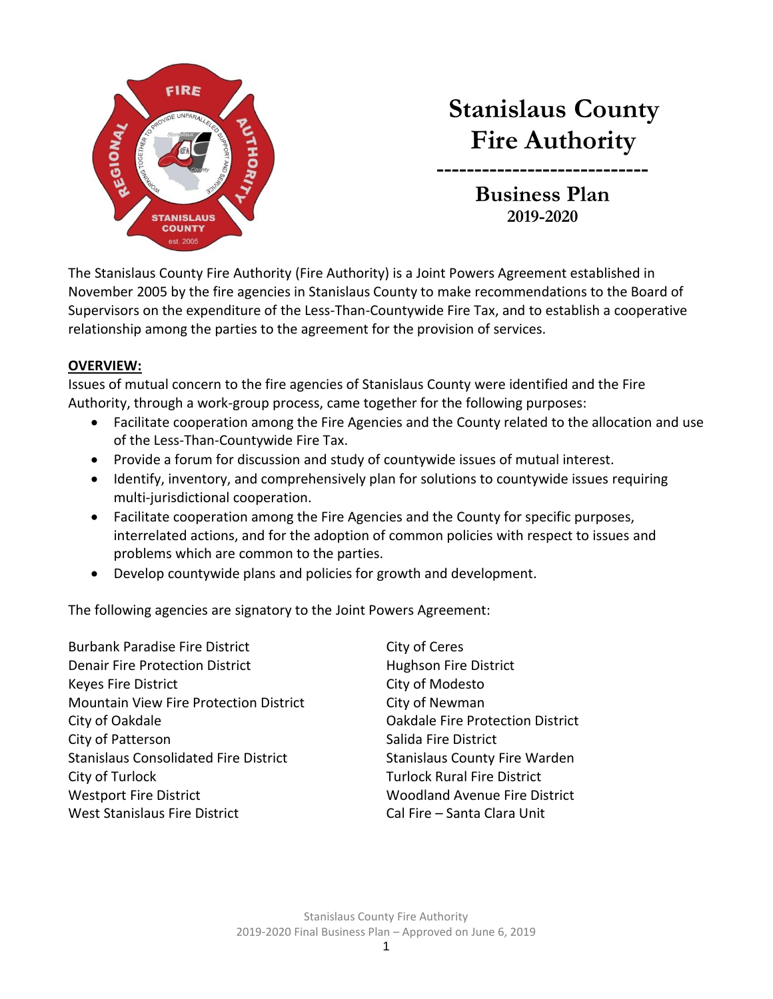

# **Stanislaus County Fire Authority**

**Business Plan 2019-2020**

**----------------------------**

The Stanislaus County Fire Authority (Fire Authority) is a Joint Powers Agreement established in November 2005 by the fire agencies in Stanislaus County to make recommendations to the Board of Supervisors on the expenditure of the Less-Than-Countywide Fire Tax, and to establish a cooperative relationship among the parties to the agreement for the provision of services.

#### **OVERVIEW:**

Issues of mutual concern to the fire agencies of Stanislaus County were identified and the Fire Authority, through a work-group process, came together for the following purposes:

- Facilitate cooperation among the Fire Agencies and the County related to the allocation and use of the Less-Than-Countywide Fire Tax.
- Provide a forum for discussion and study of countywide issues of mutual interest.
- Identify, inventory, and comprehensively plan for solutions to countywide issues requiring multi-jurisdictional cooperation.
- Facilitate cooperation among the Fire Agencies and the County for specific purposes, interrelated actions, and for the adoption of common policies with respect to issues and problems which are common to the parties.
- Develop countywide plans and policies for growth and development.

The following agencies are signatory to the Joint Powers Agreement:

Burbank Paradise Fire District City of Ceres Denair Fire Protection District **Hughson Fire District** Keyes Fire District **City of Modesto** Mountain View Fire Protection District **City of Newman** City of Oakdale **City of Oakdale City of Oakdale Fire Protection District** City of Patterson City of Patterson Stanislaus Consolidated Fire District Stanislaus County Fire Warden City of Turlock Turlock Rural Fire District Westport Fire District Woodland Avenue Fire District West Stanislaus Fire District Cal Fire – Santa Clara Unit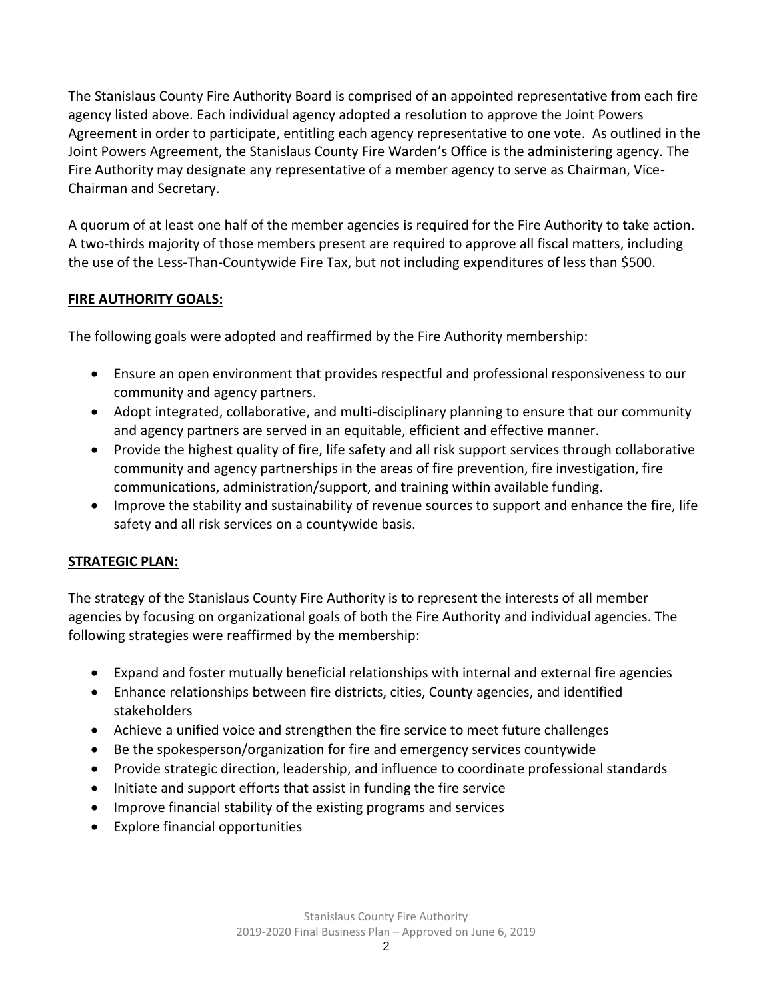The Stanislaus County Fire Authority Board is comprised of an appointed representative from each fire agency listed above. Each individual agency adopted a resolution to approve the Joint Powers Agreement in order to participate, entitling each agency representative to one vote. As outlined in the Joint Powers Agreement, the Stanislaus County Fire Warden's Office is the administering agency. The Fire Authority may designate any representative of a member agency to serve as Chairman, Vice-Chairman and Secretary.

A quorum of at least one half of the member agencies is required for the Fire Authority to take action. A two-thirds majority of those members present are required to approve all fiscal matters, including the use of the Less-Than-Countywide Fire Tax, but not including expenditures of less than \$500.

### **FIRE AUTHORITY GOALS:**

The following goals were adopted and reaffirmed by the Fire Authority membership:

- Ensure an open environment that provides respectful and professional responsiveness to our community and agency partners.
- Adopt integrated, collaborative, and multi-disciplinary planning to ensure that our community and agency partners are served in an equitable, efficient and effective manner.
- Provide the highest quality of fire, life safety and all risk support services through collaborative community and agency partnerships in the areas of fire prevention, fire investigation, fire communications, administration/support, and training within available funding.
- Improve the stability and sustainability of revenue sources to support and enhance the fire, life safety and all risk services on a countywide basis.

### **STRATEGIC PLAN:**

The strategy of the Stanislaus County Fire Authority is to represent the interests of all member agencies by focusing on organizational goals of both the Fire Authority and individual agencies. The following strategies were reaffirmed by the membership:

- Expand and foster mutually beneficial relationships with internal and external fire agencies
- Enhance relationships between fire districts, cities, County agencies, and identified stakeholders
- Achieve a unified voice and strengthen the fire service to meet future challenges
- Be the spokesperson/organization for fire and emergency services countywide
- Provide strategic direction, leadership, and influence to coordinate professional standards
- Initiate and support efforts that assist in funding the fire service
- Improve financial stability of the existing programs and services
- Explore financial opportunities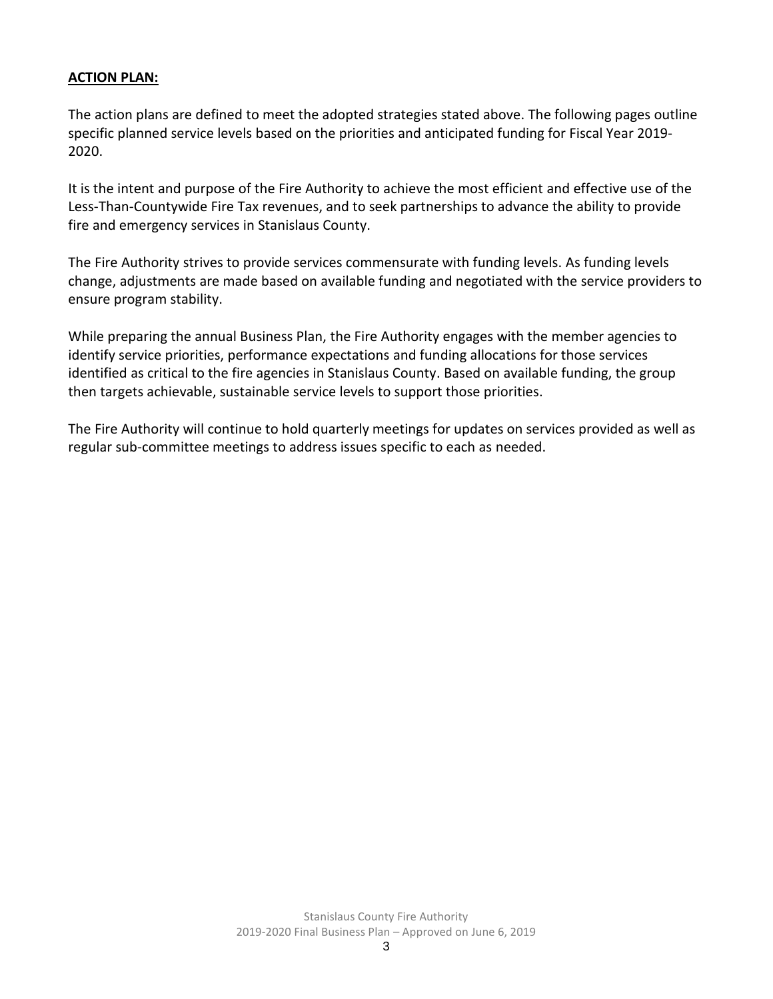#### **ACTION PLAN:**

The action plans are defined to meet the adopted strategies stated above. The following pages outline specific planned service levels based on the priorities and anticipated funding for Fiscal Year 2019- 2020.

It is the intent and purpose of the Fire Authority to achieve the most efficient and effective use of the Less-Than-Countywide Fire Tax revenues, and to seek partnerships to advance the ability to provide fire and emergency services in Stanislaus County.

The Fire Authority strives to provide services commensurate with funding levels. As funding levels change, adjustments are made based on available funding and negotiated with the service providers to ensure program stability.

While preparing the annual Business Plan, the Fire Authority engages with the member agencies to identify service priorities, performance expectations and funding allocations for those services identified as critical to the fire agencies in Stanislaus County. Based on available funding, the group then targets achievable, sustainable service levels to support those priorities.

The Fire Authority will continue to hold quarterly meetings for updates on services provided as well as regular sub-committee meetings to address issues specific to each as needed.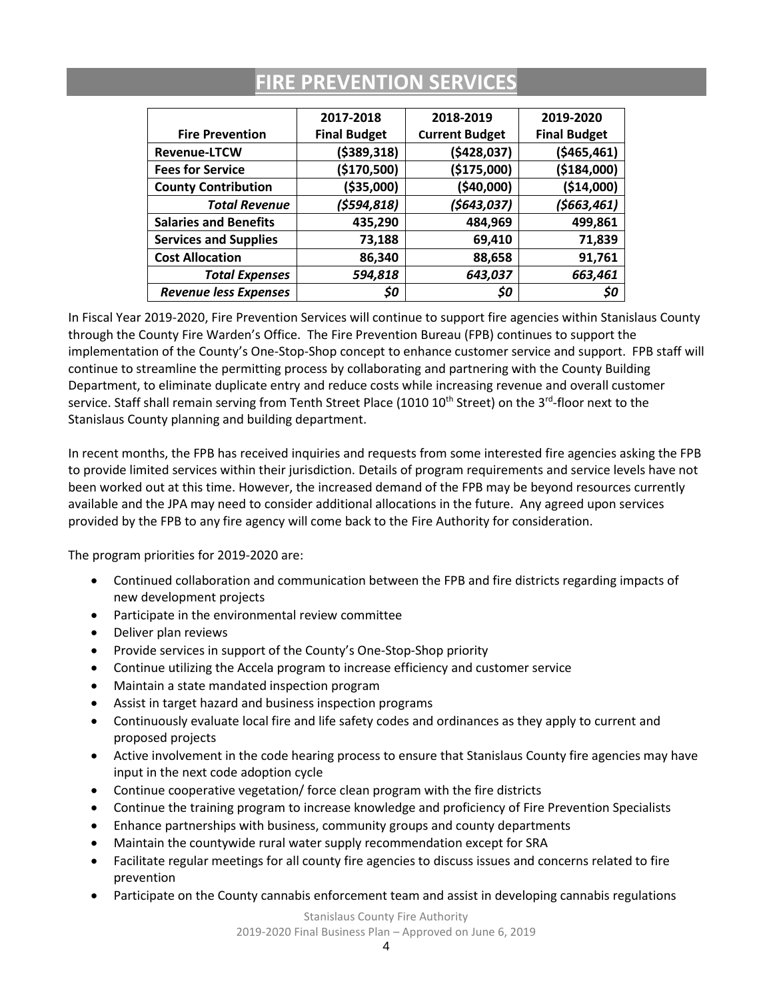|                              | 2017-2018           | 2018-2019             | 2019-2020           |  |
|------------------------------|---------------------|-----------------------|---------------------|--|
| <b>Fire Prevention</b>       | <b>Final Budget</b> | <b>Current Budget</b> | <b>Final Budget</b> |  |
| <b>Revenue-LTCW</b>          | (\$389,318)         | (5428, 037)           | (\$465,461)         |  |
| <b>Fees for Service</b>      | (\$170,500)         | (\$175,000)           | (\$184,000)         |  |
| <b>County Contribution</b>   | ( \$35,000)         | (\$40,000)            | ( \$14,000)         |  |
| <b>Total Revenue</b>         | (\$594,818)         | (5643, 037)           | (\$663,461)         |  |
| <b>Salaries and Benefits</b> | 435,290             | 484,969               | 499,861             |  |
| <b>Services and Supplies</b> | 73,188              | 69,410                | 71,839              |  |
| <b>Cost Allocation</b>       | 86,340              | 88,658                | 91,761              |  |
| <b>Total Expenses</b>        | 594,818             | 643,037               | 663,461             |  |
| <b>Revenue less Expenses</b> | \$0                 | \$0                   | S0                  |  |

### **FIRE PREVENTION SERVICES**

In Fiscal Year 2019-2020, Fire Prevention Services will continue to support fire agencies within Stanislaus County through the County Fire Warden's Office. The Fire Prevention Bureau (FPB) continues to support the implementation of the County's One-Stop-Shop concept to enhance customer service and support. FPB staff will continue to streamline the permitting process by collaborating and partnering with the County Building Department, to eliminate duplicate entry and reduce costs while increasing revenue and overall customer service. Staff shall remain serving from Tenth Street Place (1010 10<sup>th</sup> Street) on the 3<sup>rd</sup>-floor next to the Stanislaus County planning and building department.

In recent months, the FPB has received inquiries and requests from some interested fire agencies asking the FPB to provide limited services within their jurisdiction. Details of program requirements and service levels have not been worked out at this time. However, the increased demand of the FPB may be beyond resources currently available and the JPA may need to consider additional allocations in the future. Any agreed upon services provided by the FPB to any fire agency will come back to the Fire Authority for consideration.

The program priorities for 2019-2020 are:

- Continued collaboration and communication between the FPB and fire districts regarding impacts of new development projects
- Participate in the environmental review committee
- Deliver plan reviews
- Provide services in support of the County's One-Stop-Shop priority
- Continue utilizing the Accela program to increase efficiency and customer service
- Maintain a state mandated inspection program
- Assist in target hazard and business inspection programs
- Continuously evaluate local fire and life safety codes and ordinances as they apply to current and proposed projects
- Active involvement in the code hearing process to ensure that Stanislaus County fire agencies may have input in the next code adoption cycle
- Continue cooperative vegetation/ force clean program with the fire districts
- Continue the training program to increase knowledge and proficiency of Fire Prevention Specialists
- Enhance partnerships with business, community groups and county departments
- Maintain the countywide rural water supply recommendation except for SRA
- Facilitate regular meetings for all county fire agencies to discuss issues and concerns related to fire prevention
- Participate on the County cannabis enforcement team and assist in developing cannabis regulations

Stanislaus County Fire Authority

2019-2020 Final Business Plan – Approved on June 6, 2019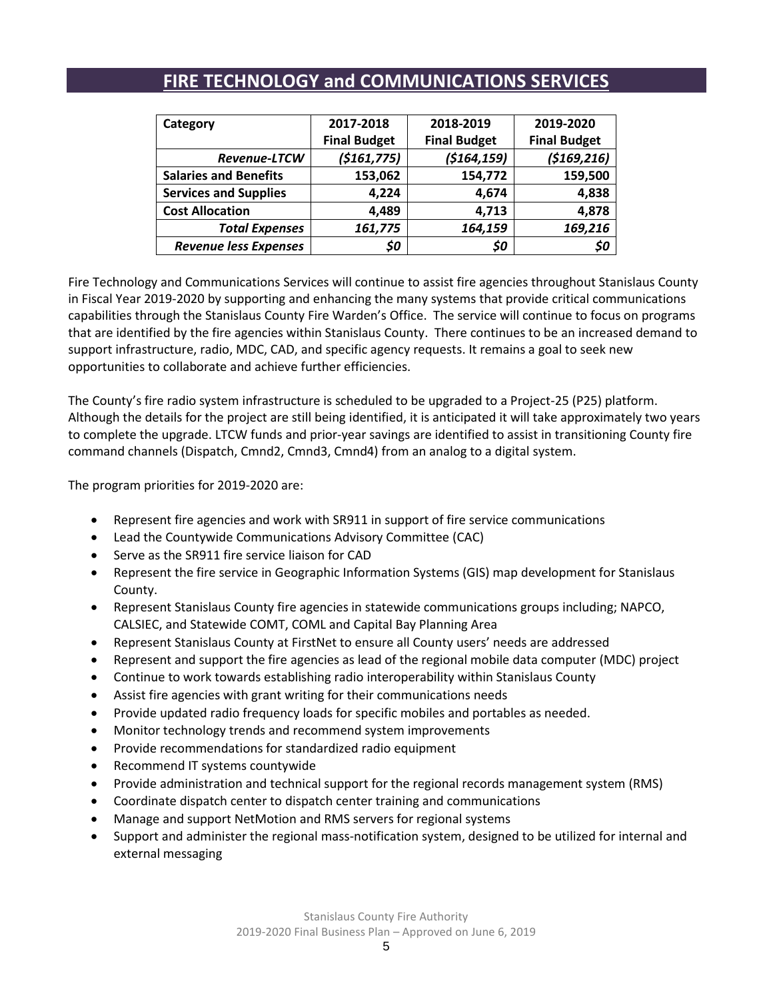| Category                     | 2017-2018           | 2018-2019           | 2019-2020           |  |
|------------------------------|---------------------|---------------------|---------------------|--|
|                              | <b>Final Budget</b> | <b>Final Budget</b> | <b>Final Budget</b> |  |
| <b>Revenue-LTCW</b>          | ( \$161, 775)       | (5164, 159)         | (5169, 216)         |  |
| <b>Salaries and Benefits</b> | 153,062             | 154,772             | 159,500             |  |
| <b>Services and Supplies</b> | 4,224               | 4,674               | 4,838               |  |
| <b>Cost Allocation</b>       | 4,489               | 4,713               | 4,878               |  |
| <b>Total Expenses</b>        | 161,775             | 164,159             | 169,216             |  |
| <b>Revenue less Expenses</b> | \$0                 | \$0                 | \$0                 |  |

### **FIRE TECHNOLOGY and COMMUNICATIONS SERVICES**

Fire Technology and Communications Services will continue to assist fire agencies throughout Stanislaus County in Fiscal Year 2019-2020 by supporting and enhancing the many systems that provide critical communications capabilities through the Stanislaus County Fire Warden's Office. The service will continue to focus on programs that are identified by the fire agencies within Stanislaus County. There continues to be an increased demand to support infrastructure, radio, MDC, CAD, and specific agency requests. It remains a goal to seek new opportunities to collaborate and achieve further efficiencies.

The County's fire radio system infrastructure is scheduled to be upgraded to a Project-25 (P25) platform. Although the details for the project are still being identified, it is anticipated it will take approximately two years to complete the upgrade. LTCW funds and prior-year savings are identified to assist in transitioning County fire command channels (Dispatch, Cmnd2, Cmnd3, Cmnd4) from an analog to a digital system.

- Represent fire agencies and work with SR911 in support of fire service communications
- Lead the Countywide Communications Advisory Committee (CAC)
- Serve as the SR911 fire service liaison for CAD
- Represent the fire service in Geographic Information Systems (GIS) map development for Stanislaus County.
- Represent Stanislaus County fire agencies in statewide communications groups including; NAPCO, CALSIEC, and Statewide COMT, COML and Capital Bay Planning Area
- Represent Stanislaus County at FirstNet to ensure all County users' needs are addressed
- Represent and support the fire agencies as lead of the regional mobile data computer (MDC) project
- Continue to work towards establishing radio interoperability within Stanislaus County
- Assist fire agencies with grant writing for their communications needs
- Provide updated radio frequency loads for specific mobiles and portables as needed.
- Monitor technology trends and recommend system improvements
- Provide recommendations for standardized radio equipment
- Recommend IT systems countywide
- Provide administration and technical support for the regional records management system (RMS)
- Coordinate dispatch center to dispatch center training and communications
- Manage and support NetMotion and RMS servers for regional systems
- Support and administer the regional mass-notification system, designed to be utilized for internal and external messaging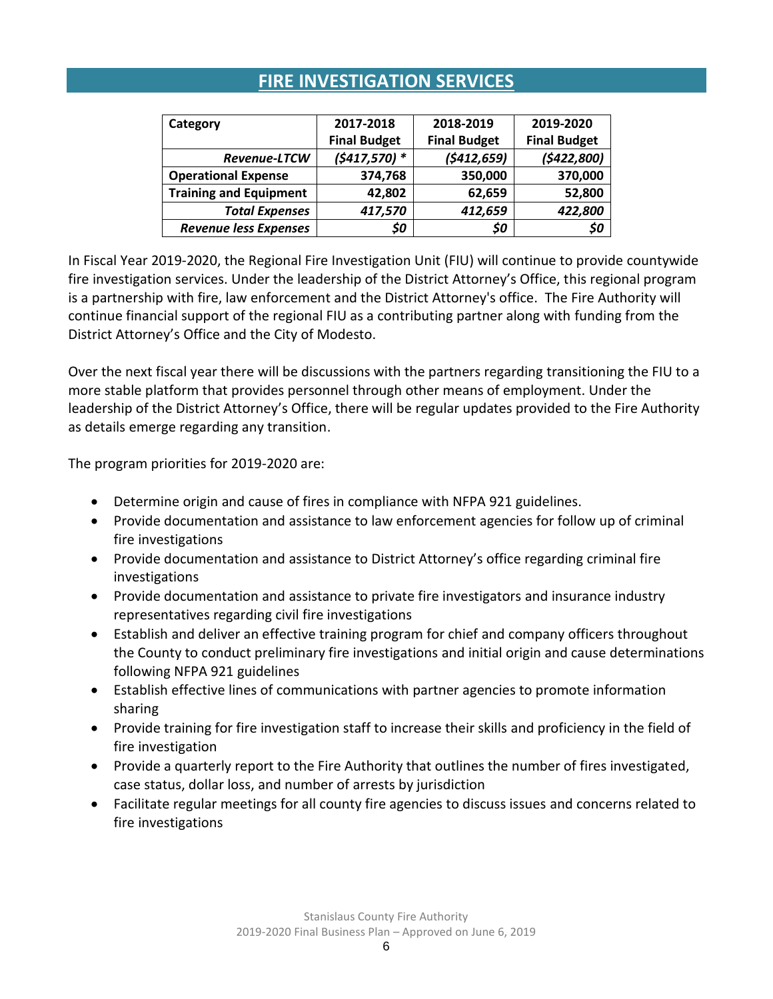## **FIRE INVESTIGATION SERVICES**

| Category                      | 2017-2018           | 2018-2019           | 2019-2020           |  |
|-------------------------------|---------------------|---------------------|---------------------|--|
|                               | <b>Final Budget</b> | <b>Final Budget</b> | <b>Final Budget</b> |  |
| Revenue-LTCW                  | $(5417,570)*$       | (5412, 659)         | (5422,800)          |  |
| <b>Operational Expense</b>    | 374,768             | 350,000             | 370,000             |  |
| <b>Training and Equipment</b> | 42,802              | 62,659              | 52,800              |  |
| <b>Total Expenses</b>         | 417,570             | 412,659             | 422,800             |  |
| <b>Revenue less Expenses</b>  | \$0                 | \$0                 | \$0                 |  |

In Fiscal Year 2019-2020, the Regional Fire Investigation Unit (FIU) will continue to provide countywide fire investigation services. Under the leadership of the District Attorney's Office, this regional program is a partnership with fire, law enforcement and the District Attorney's office. The Fire Authority will continue financial support of the regional FIU as a contributing partner along with funding from the District Attorney's Office and the City of Modesto.

Over the next fiscal year there will be discussions with the partners regarding transitioning the FIU to a more stable platform that provides personnel through other means of employment. Under the leadership of the District Attorney's Office, there will be regular updates provided to the Fire Authority as details emerge regarding any transition.

- Determine origin and cause of fires in compliance with NFPA 921 guidelines.
- Provide documentation and assistance to law enforcement agencies for follow up of criminal fire investigations
- Provide documentation and assistance to District Attorney's office regarding criminal fire investigations
- Provide documentation and assistance to private fire investigators and insurance industry representatives regarding civil fire investigations
- Establish and deliver an effective training program for chief and company officers throughout the County to conduct preliminary fire investigations and initial origin and cause determinations following NFPA 921 guidelines
- Establish effective lines of communications with partner agencies to promote information sharing
- Provide training for fire investigation staff to increase their skills and proficiency in the field of fire investigation
- Provide a quarterly report to the Fire Authority that outlines the number of fires investigated, case status, dollar loss, and number of arrests by jurisdiction
- Facilitate regular meetings for all county fire agencies to discuss issues and concerns related to fire investigations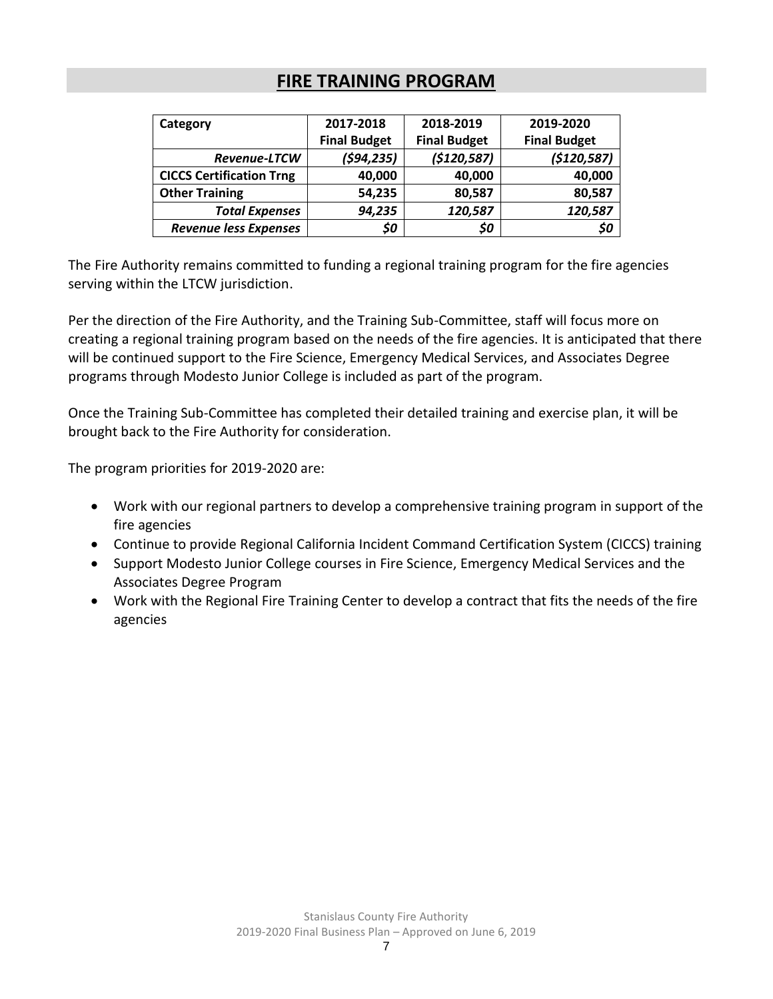### **FIRE TRAINING PROGRAM**

| Category                        | 2017-2018           | 2018-2019           | 2019-2020           |  |
|---------------------------------|---------------------|---------------------|---------------------|--|
|                                 | <b>Final Budget</b> | <b>Final Budget</b> | <b>Final Budget</b> |  |
| <b>Revenue-LTCW</b>             | (594, 235)          | (5120, 587)         | (5120, 587)         |  |
| <b>CICCS Certification Trng</b> | 40,000              | 40,000              | 40,000              |  |
| <b>Other Training</b>           | 54,235              | 80,587              | 80,587              |  |
| <b>Total Expenses</b>           | 94,235              | 120,587             | 120,587             |  |
| <b>Revenue less Expenses</b>    | \$0                 | \$0                 | \$0                 |  |

The Fire Authority remains committed to funding a regional training program for the fire agencies serving within the LTCW jurisdiction.

Per the direction of the Fire Authority, and the Training Sub-Committee, staff will focus more on creating a regional training program based on the needs of the fire agencies. It is anticipated that there will be continued support to the Fire Science, Emergency Medical Services, and Associates Degree programs through Modesto Junior College is included as part of the program.

Once the Training Sub-Committee has completed their detailed training and exercise plan, it will be brought back to the Fire Authority for consideration.

- Work with our regional partners to develop a comprehensive training program in support of the fire agencies
- Continue to provide Regional California Incident Command Certification System (CICCS) training
- Support Modesto Junior College courses in Fire Science, Emergency Medical Services and the Associates Degree Program
- Work with the Regional Fire Training Center to develop a contract that fits the needs of the fire agencies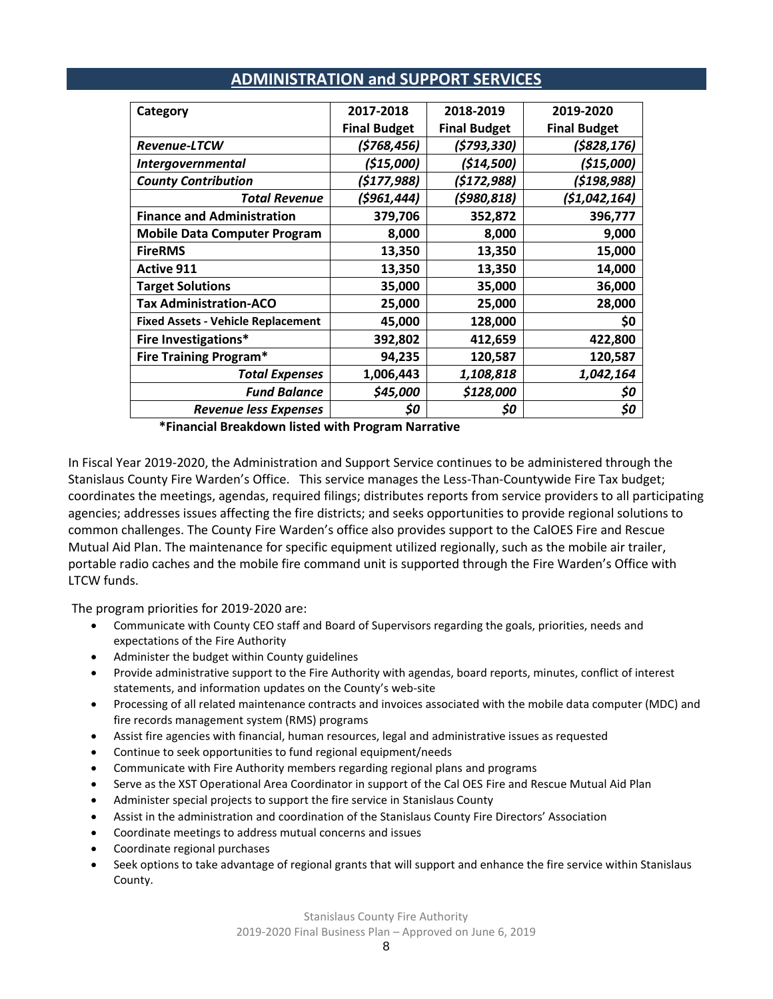| Category                                  | 2017-2018           | 2018-2019           | 2019-2020           |
|-------------------------------------------|---------------------|---------------------|---------------------|
|                                           | <b>Final Budget</b> | <b>Final Budget</b> | <b>Final Budget</b> |
| <b>Revenue-LTCW</b>                       | (\$768,456)         | (\$793,330)         | (\$828,176)         |
| <i>Intergovernmental</i>                  | (\$15,000)          | (\$14,500)          | (515,000)           |
| <b>County Contribution</b>                | (5177, 988)         | (5172, 988)         | (5198, 988)         |
| <b>Total Revenue</b>                      | (\$961,444)         | (5980, 818)         | (51,042,164)        |
| <b>Finance and Administration</b>         | 379,706             | 352,872             | 396,777             |
| <b>Mobile Data Computer Program</b>       | 8,000               | 8,000               | 9,000               |
| <b>FireRMS</b>                            | 13,350              | 13,350              | 15,000              |
| <b>Active 911</b>                         | 13,350              | 13,350              | 14,000              |
| <b>Target Solutions</b>                   | 35,000              | 35,000              | 36,000              |
| <b>Tax Administration-ACO</b>             | 25,000              | 25,000              | 28,000              |
| <b>Fixed Assets - Vehicle Replacement</b> | 45,000              | 128,000             | \$0                 |
| Fire Investigations*                      | 392,802             | 412,659             | 422,800             |
| <b>Fire Training Program*</b>             | 94,235              | 120,587             | 120,587             |
| <b>Total Expenses</b>                     | 1,006,443           | 1,108,818           | 1,042,164           |
| <b>Fund Balance</b>                       | \$45,000            | \$128,000           | \$0                 |
| <b>Revenue less Expenses</b>              | \$0                 | \$0                 | \$0                 |
|                                           |                     |                     |                     |

### **ADMINISTRATION and SUPPORT SERVICES**

**\*Financial Breakdown listed with Program Narrative**

In Fiscal Year 2019-2020, the Administration and Support Service continues to be administered through the Stanislaus County Fire Warden's Office. This service manages the Less-Than-Countywide Fire Tax budget; coordinates the meetings, agendas, required filings; distributes reports from service providers to all participating agencies; addresses issues affecting the fire districts; and seeks opportunities to provide regional solutions to common challenges. The County Fire Warden's office also provides support to the CalOES Fire and Rescue Mutual Aid Plan. The maintenance for specific equipment utilized regionally, such as the mobile air trailer, portable radio caches and the mobile fire command unit is supported through the Fire Warden's Office with LTCW funds.

- Communicate with County CEO staff and Board of Supervisors regarding the goals, priorities, needs and expectations of the Fire Authority
- Administer the budget within County guidelines
- Provide administrative support to the Fire Authority with agendas, board reports, minutes, conflict of interest statements, and information updates on the County's web-site
- Processing of all related maintenance contracts and invoices associated with the mobile data computer (MDC) and fire records management system (RMS) programs
- Assist fire agencies with financial, human resources, legal and administrative issues as requested
- Continue to seek opportunities to fund regional equipment/needs
- Communicate with Fire Authority members regarding regional plans and programs
- Serve as the XST Operational Area Coordinator in support of the Cal OES Fire and Rescue Mutual Aid Plan
- Administer special projects to support the fire service in Stanislaus County
- Assist in the administration and coordination of the Stanislaus County Fire Directors' Association
- Coordinate meetings to address mutual concerns and issues
- Coordinate regional purchases
- Seek options to take advantage of regional grants that will support and enhance the fire service within Stanislaus County.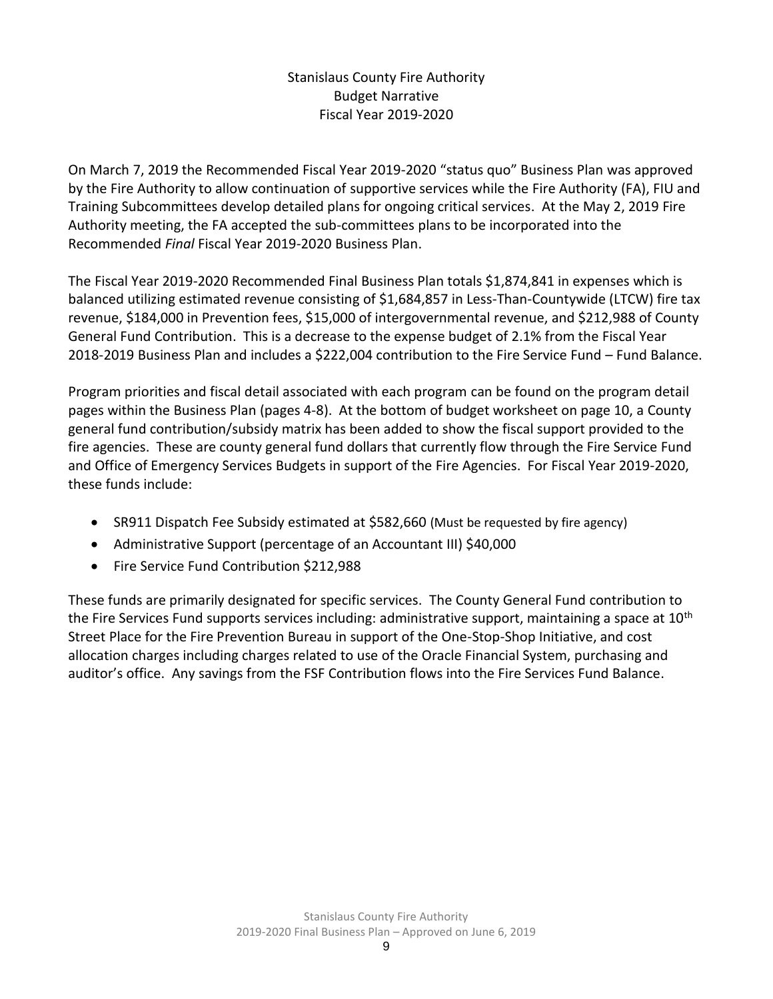### Stanislaus County Fire Authority Budget Narrative Fiscal Year 2019-2020

On March 7, 2019 the Recommended Fiscal Year 2019-2020 "status quo" Business Plan was approved by the Fire Authority to allow continuation of supportive services while the Fire Authority (FA), FIU and Training Subcommittees develop detailed plans for ongoing critical services. At the May 2, 2019 Fire Authority meeting, the FA accepted the sub-committees plans to be incorporated into the Recommended *Final* Fiscal Year 2019-2020 Business Plan.

The Fiscal Year 2019-2020 Recommended Final Business Plan totals \$1,874,841 in expenses which is balanced utilizing estimated revenue consisting of \$1,684,857 in Less-Than-Countywide (LTCW) fire tax revenue, \$184,000 in Prevention fees, \$15,000 of intergovernmental revenue, and \$212,988 of County General Fund Contribution. This is a decrease to the expense budget of 2.1% from the Fiscal Year 2018-2019 Business Plan and includes a \$222,004 contribution to the Fire Service Fund – Fund Balance.

Program priorities and fiscal detail associated with each program can be found on the program detail pages within the Business Plan (pages 4-8). At the bottom of budget worksheet on page 10, a County general fund contribution/subsidy matrix has been added to show the fiscal support provided to the fire agencies. These are county general fund dollars that currently flow through the Fire Service Fund and Office of Emergency Services Budgets in support of the Fire Agencies. For Fiscal Year 2019-2020, these funds include:

- SR911 Dispatch Fee Subsidy estimated at \$582,660 (Must be requested by fire agency)
- Administrative Support (percentage of an Accountant III) \$40,000
- Fire Service Fund Contribution \$212,988

These funds are primarily designated for specific services. The County General Fund contribution to the Fire Services Fund supports services including: administrative support, maintaining a space at  $10<sup>th</sup>$ Street Place for the Fire Prevention Bureau in support of the One-Stop-Shop Initiative, and cost allocation charges including charges related to use of the Oracle Financial System, purchasing and auditor's office. Any savings from the FSF Contribution flows into the Fire Services Fund Balance.